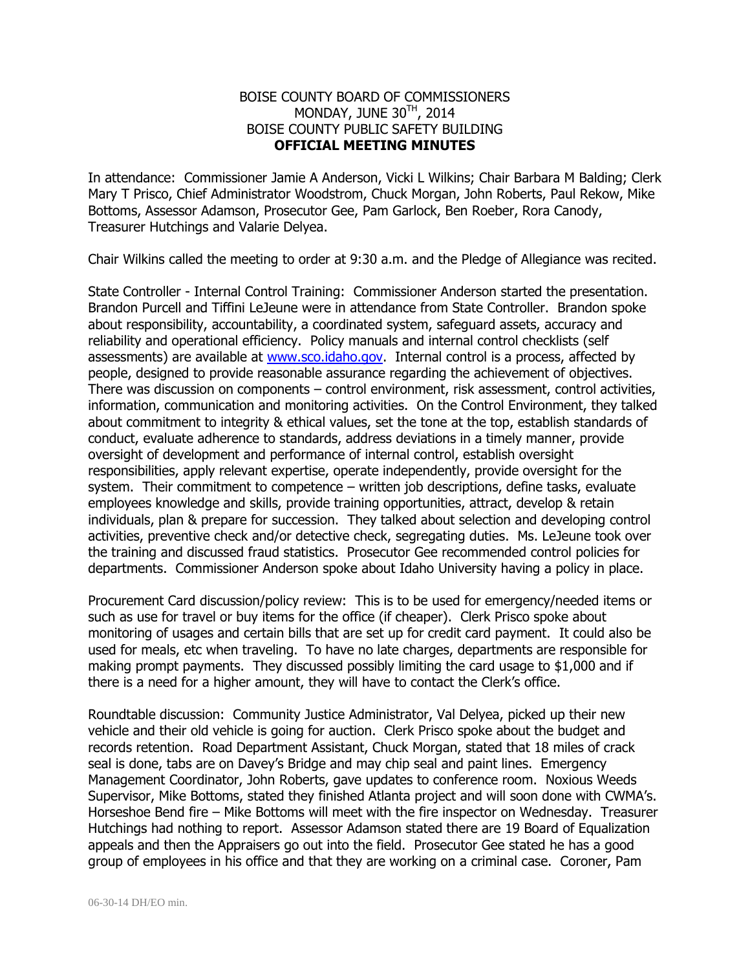## BOISE COUNTY BOARD OF COMMISSIONERS MONDAY, JUNE 30<sup>TH</sup>, 2014 BOISE COUNTY PUBLIC SAFETY BUILDING **OFFICIAL MEETING MINUTES**

In attendance: Commissioner Jamie A Anderson, Vicki L Wilkins; Chair Barbara M Balding; Clerk Mary T Prisco, Chief Administrator Woodstrom, Chuck Morgan, John Roberts, Paul Rekow, Mike Bottoms, Assessor Adamson, Prosecutor Gee, Pam Garlock, Ben Roeber, Rora Canody, Treasurer Hutchings and Valarie Delyea.

Chair Wilkins called the meeting to order at 9:30 a.m. and the Pledge of Allegiance was recited.

State Controller - Internal Control Training: Commissioner Anderson started the presentation. Brandon Purcell and Tiffini LeJeune were in attendance from State Controller. Brandon spoke about responsibility, accountability, a coordinated system, safeguard assets, accuracy and reliability and operational efficiency. Policy manuals and internal control checklists (self assessments) are available at [www.sco.idaho.gov.](http://www.sco.idaho.gov/) Internal control is a process, affected by people, designed to provide reasonable assurance regarding the achievement of objectives. There was discussion on components – control environment, risk assessment, control activities, information, communication and monitoring activities. On the Control Environment, they talked about commitment to integrity & ethical values, set the tone at the top, establish standards of conduct, evaluate adherence to standards, address deviations in a timely manner, provide oversight of development and performance of internal control, establish oversight responsibilities, apply relevant expertise, operate independently, provide oversight for the system. Their commitment to competence – written job descriptions, define tasks, evaluate employees knowledge and skills, provide training opportunities, attract, develop & retain individuals, plan & prepare for succession. They talked about selection and developing control activities, preventive check and/or detective check, segregating duties. Ms. LeJeune took over the training and discussed fraud statistics. Prosecutor Gee recommended control policies for departments. Commissioner Anderson spoke about Idaho University having a policy in place.

Procurement Card discussion/policy review: This is to be used for emergency/needed items or such as use for travel or buy items for the office (if cheaper). Clerk Prisco spoke about monitoring of usages and certain bills that are set up for credit card payment. It could also be used for meals, etc when traveling. To have no late charges, departments are responsible for making prompt payments. They discussed possibly limiting the card usage to \$1,000 and if there is a need for a higher amount, they will have to contact the Clerk's office.

Roundtable discussion: Community Justice Administrator, Val Delyea, picked up their new vehicle and their old vehicle is going for auction. Clerk Prisco spoke about the budget and records retention. Road Department Assistant, Chuck Morgan, stated that 18 miles of crack seal is done, tabs are on Davey's Bridge and may chip seal and paint lines. Emergency Management Coordinator, John Roberts, gave updates to conference room. Noxious Weeds Supervisor, Mike Bottoms, stated they finished Atlanta project and will soon done with CWMA's. Horseshoe Bend fire – Mike Bottoms will meet with the fire inspector on Wednesday. Treasurer Hutchings had nothing to report. Assessor Adamson stated there are 19 Board of Equalization appeals and then the Appraisers go out into the field. Prosecutor Gee stated he has a good group of employees in his office and that they are working on a criminal case. Coroner, Pam